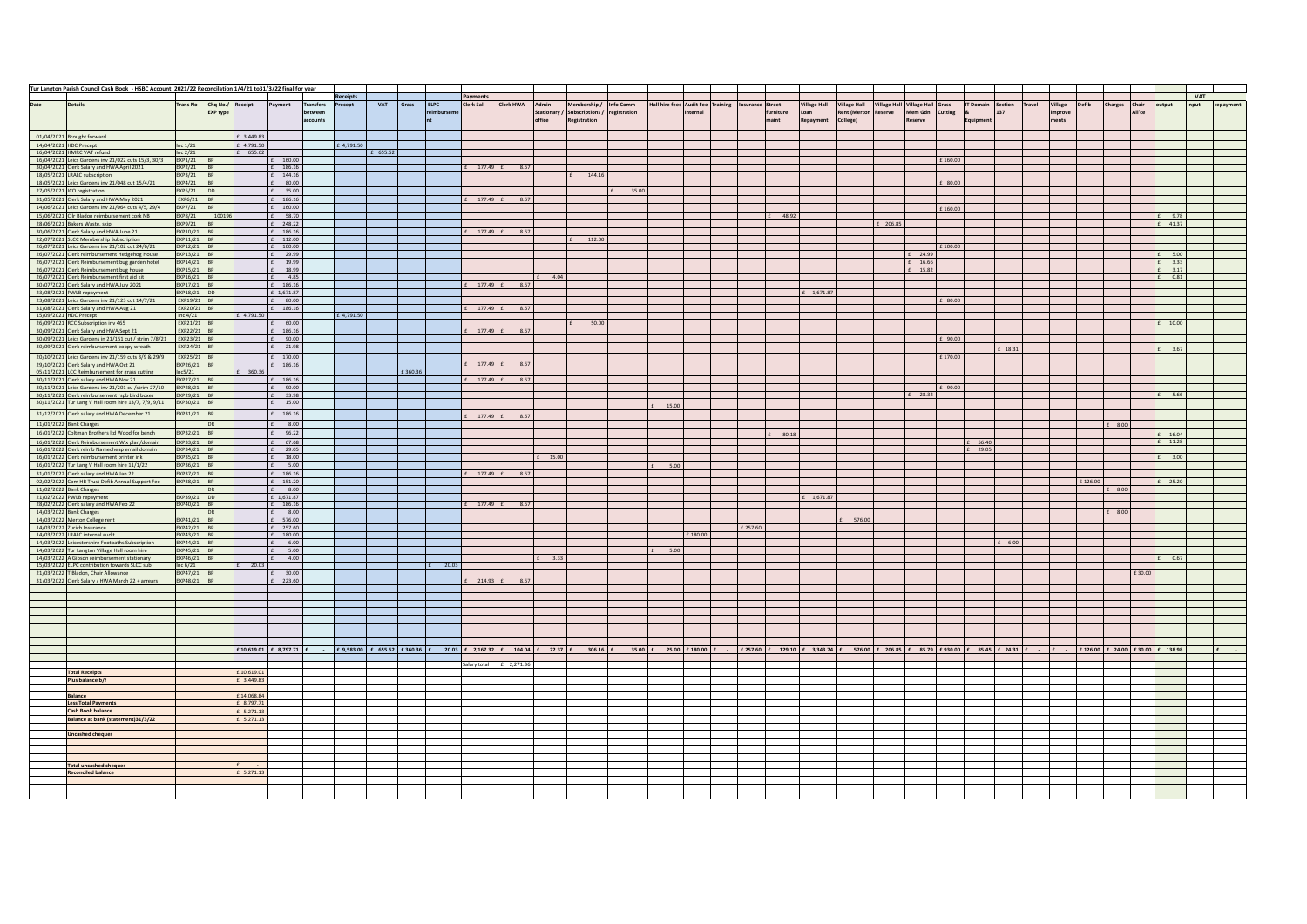|                         | Tur Langton Parish Council Cash Book - HSBC Account 2021/22 Reconcilation 1/4/21 to 31/3/22 final for year |                            |                                              |                          |                                           |                             |            |            |         |             |                         |                         |        |                                                                                               |                           |        |         |                                                                                                                                                                                               |                             |                                             |                                 |         |          |                                          |               |                   |         |                |                 |                 |     |           |
|-------------------------|------------------------------------------------------------------------------------------------------------|----------------------------|----------------------------------------------|--------------------------|-------------------------------------------|-----------------------------|------------|------------|---------|-------------|-------------------------|-------------------------|--------|-----------------------------------------------------------------------------------------------|---------------------------|--------|---------|-----------------------------------------------------------------------------------------------------------------------------------------------------------------------------------------------|-----------------------------|---------------------------------------------|---------------------------------|---------|----------|------------------------------------------|---------------|-------------------|---------|----------------|-----------------|-----------------|-----|-----------|
|                         |                                                                                                            |                            |                                              |                          |                                           |                             | Receipts   |            |         |             | Payments                |                         |        |                                                                                               |                           |        |         |                                                                                                                                                                                               |                             |                                             |                                 |         |          |                                          |               |                   |         |                |                 |                 | VAT |           |
| Date                    | <b>Details</b>                                                                                             |                            | Trans No Cho No./ Receipt<br><b>EXP type</b> |                          | Payment                                   | <b>Transfers</b><br>between | Precept    | <b>VAT</b> | Grass   | <b>ELPC</b> | Clerk Sal               | Clerk HWA               | Admin  | Membership /<br>Stationary / Subscriptions /                                                  | Info Comm<br>registration |        | rnal    | Hall hire fees Audit Fee Training Insurance Street<br>furniture                                                                                                                               | <b>Village Hall</b><br>Loan | <b>Village Hall</b><br>Rent (Merton Reserve | Village Hall Village Hall Grass | Mem Gdn | Cutting  | <b>IT Domain</b> Section<br>$\mathbf{a}$ | Travel<br>137 | Village<br>mprove | Defib   | <b>Charges</b> | Chair<br>All'ce | output<br>input |     | repayment |
|                         |                                                                                                            |                            |                                              |                          |                                           | accounts                    |            |            |         |             |                         |                         | office | <b>Registration</b>                                                                           |                           |        |         | naint                                                                                                                                                                                         | Repayment                   | College)                                    |                                 | eserve  |          | Equipment                                |               | <b>Post</b>       |         |                |                 |                 |     |           |
|                         |                                                                                                            |                            |                                              |                          |                                           |                             |            |            |         |             |                         |                         |        |                                                                                               |                           |        |         |                                                                                                                                                                                               |                             |                                             |                                 |         |          |                                          |               |                   |         |                |                 |                 |     |           |
|                         | 01/04/2021 Brought forward                                                                                 |                            |                                              | £ 3.449.83               |                                           |                             |            |            |         |             |                         |                         |        |                                                                                               |                           |        |         |                                                                                                                                                                                               |                             |                                             |                                 |         |          |                                          |               |                   |         |                |                 |                 |     |           |
|                         | 14/04/2021 HDC Precept<br>16/04/2021 HMRC VAT refund                                                       | Inc $1/21$                 |                                              | £ 4,791.50               |                                           |                             | £ 4,791.50 |            |         |             |                         |                         |        |                                                                                               |                           |        |         |                                                                                                                                                                                               |                             |                                             |                                 |         |          |                                          |               |                   |         |                |                 |                 |     |           |
|                         | 16/04/2021 Leics Gardens inv 21/022 cuts 15/3, 30/3                                                        | Inc $2/21$<br>EXP1/21      |                                              | $£$ 655.62               | £ 160.00                                  |                             |            | £ 655.62   |         |             |                         |                         |        |                                                                                               |                           |        |         |                                                                                                                                                                                               |                             |                                             |                                 |         | £160.00  |                                          |               |                   |         |                |                 |                 |     |           |
|                         | 30/04/2021 Clerk Salary and HWA April 2021                                                                 | EXP2/21                    |                                              |                          | £ 186.16                                  |                             |            |            |         |             | $E = 177.49$            | 8.67                    |        |                                                                                               |                           |        |         |                                                                                                                                                                                               |                             |                                             |                                 |         |          |                                          |               |                   |         |                |                 |                 |     |           |
|                         | 18/05/2021 LRALC subscription                                                                              | EXP3/21 BP                 |                                              |                          | $£$ 144.16                                |                             |            |            |         |             |                         |                         |        | £ 144.16                                                                                      |                           |        |         |                                                                                                                                                                                               |                             |                                             |                                 |         |          |                                          |               |                   |         |                |                 |                 |     |           |
|                         | 18/05/2021 Leics Gardens inv 21/048 cut 15/4/21                                                            | EXP4/21 BP                 |                                              |                          | $£$ 80.00                                 |                             |            |            |         |             |                         |                         |        |                                                                                               |                           |        |         |                                                                                                                                                                                               |                             |                                             |                                 |         | £ 80.00  |                                          |               |                   |         |                |                 |                 |     |           |
|                         | 27/05/2021 ICO registration                                                                                | EXP5/21                    | $DD$                                         |                          | $\pounds$ 35.00                           |                             |            |            |         |             |                         |                         |        |                                                                                               | 35.00                     |        |         |                                                                                                                                                                                               |                             |                                             |                                 |         |          |                                          |               |                   |         |                |                 |                 |     |           |
|                         | 31/05/2021 Clerk Salary and HWA May 2021<br>14/06/2021 Leics Gardens inv 21/064 cuts 4/5, 29/4             | $EXP6/21$ BP<br>EXP7/21 BP |                                              |                          | £ 186.16<br>$£$ 160.00                    |                             |            |            |         |             | $E = 177.49$ $E = 8.67$ |                         |        |                                                                                               |                           |        |         |                                                                                                                                                                                               |                             |                                             |                                 |         |          |                                          |               |                   |         |                |                 |                 |     |           |
|                         | 15/06/2021 Cllr Bladon reimbursement cork NB                                                               | EXP8/21 100196             |                                              |                          | $f = 58.70$                               |                             |            |            |         |             |                         |                         |        |                                                                                               |                           |        |         | 48.92                                                                                                                                                                                         |                             |                                             |                                 |         | £160.00  |                                          |               |                   |         |                |                 | 9.78            |     |           |
|                         | 28/06/2021 Bakers Waste, skip                                                                              | EXP9/21 BP                 |                                              |                          | $£$ 248.22                                |                             |            |            |         |             |                         |                         |        |                                                                                               |                           |        |         |                                                                                                                                                                                               |                             |                                             | $£$ 206.85                      |         |          |                                          |               |                   |         |                |                 | £ 41.37         |     |           |
|                         | 30/06/2021 Clerk Salary and HWA June 21                                                                    | EXP10/21 BP                |                                              |                          | £ 186.16                                  |                             |            |            |         |             |                         | $E = 177.49$ $E = 8.67$ |        |                                                                                               |                           |        |         |                                                                                                                                                                                               |                             |                                             |                                 |         |          |                                          |               |                   |         |                |                 |                 |     |           |
|                         | 22/07/2021 SLCC Membership Subscription                                                                    | EXP11/21 BP                |                                              |                          | £ 112.00                                  |                             |            |            |         |             |                         |                         |        | 112.00                                                                                        |                           |        |         |                                                                                                                                                                                               |                             |                                             |                                 |         |          |                                          |               |                   |         |                |                 |                 |     |           |
|                         | 26/07/2021 Leics Gardens inv 21/102 cut 24/6/21                                                            | EXP12/21 BP<br>EXP13/21 E  |                                              |                          | $\epsilon$ 100.00<br>£ 29.99              |                             |            |            |         |             |                         |                         |        |                                                                                               |                           |        |         |                                                                                                                                                                                               |                             |                                             |                                 | 24.99   | £ 100.00 |                                          |               |                   |         |                |                 | 5.00            |     |           |
|                         | 26/07/2021 Clerk reimbursement Hedgehog House<br>26/07/2021 Clerk Reimbursement bug garden hotel           | EXP14/21 BP                |                                              |                          | £ 19.99                                   |                             |            |            |         |             |                         |                         |        |                                                                                               |                           |        |         |                                                                                                                                                                                               |                             |                                             |                                 | £ 16.66 |          |                                          |               |                   |         |                |                 | $£$ 3.33        |     |           |
|                         | 26/07/2021 Clerk Reimbursement bug house                                                                   | EXP15/21 BP                |                                              |                          | £ 18.99                                   |                             |            |            |         |             |                         |                         |        |                                                                                               |                           |        |         |                                                                                                                                                                                               |                             |                                             |                                 | £ 15.82 |          |                                          |               |                   |         |                |                 | £ 3.17          |     |           |
|                         | 26/07/2021 Clerk Reimbursement first aid kit                                                               | EXP16/21 BP                |                                              |                          | $£$ 4.85                                  |                             |            |            |         |             |                         |                         | 4.04   |                                                                                               |                           |        |         |                                                                                                                                                                                               |                             |                                             |                                 |         |          |                                          |               |                   |         |                |                 | 0.81            |     |           |
|                         | 30/07/2021 Clerk Salary and HWA July 2021                                                                  | EXP17/21 E                 |                                              |                          | £ 186.16                                  |                             |            |            |         |             |                         | £ 177.49 £ 8.67         |        |                                                                                               |                           |        |         |                                                                                                                                                                                               |                             |                                             |                                 |         |          |                                          |               |                   |         |                |                 |                 |     |           |
|                         | 23/08/2021 PWLB repayment<br>23/08/2021 Leics Gardens inv 21/123 cut 14/7/21                               | EXP18/21 DE<br>EXP19/21 BF |                                              |                          | £ 1,671.87<br>$£$ 80.00                   |                             |            |            |         |             |                         |                         |        |                                                                                               |                           |        |         |                                                                                                                                                                                               | £ 1,671.87                  |                                             |                                 |         | 80.00    |                                          |               |                   |         |                |                 |                 |     |           |
|                         | 31/08/2021 Clerk Salary and HWA Aug 21                                                                     | EXP20/21 BP                |                                              |                          | £ 186.16                                  |                             |            |            |         |             | $£ 177.49$ :            | 8.67                    |        |                                                                                               |                           |        |         |                                                                                                                                                                                               |                             |                                             |                                 |         |          |                                          |               |                   |         |                |                 |                 |     |           |
| 15/09/2021 HDC Precept  |                                                                                                            | Inc $4/21$                 |                                              | £ 4,791.50               |                                           |                             | £4.791.50  |            |         |             |                         |                         |        |                                                                                               |                           |        |         |                                                                                                                                                                                               |                             |                                             |                                 |         |          |                                          |               |                   |         |                |                 |                 |     |           |
|                         | 26/09/2021 RCC Subscription inv 465                                                                        | FXP21/21 RP                |                                              |                          | $f = 60.00$                               |                             |            |            |         |             |                         |                         |        | 50.00                                                                                         |                           |        |         |                                                                                                                                                                                               |                             |                                             |                                 |         |          |                                          |               |                   |         |                |                 | $f = 10.00$     |     |           |
|                         | 30/09/2021 Clerk Salary and HWA Sept 21                                                                    | EXP22/21 BP                |                                              |                          | £ 186.16                                  |                             |            |            |         |             | £ 177.49 E              | 8.67                    |        |                                                                                               |                           |        |         |                                                                                                                                                                                               |                             |                                             |                                 |         |          |                                          |               |                   |         |                |                 |                 |     |           |
|                         | 30/09/2021 Leics Gardens in 21/151 cut / strim 7/8/21<br>30/09/2021 Clerk reimbursement poppy wreath       | EXP23/21 BP<br>EXP24/21 BF |                                              |                          | $£$ 90.00<br>£ 21.98                      |                             |            |            |         |             |                         |                         |        |                                                                                               |                           |        |         |                                                                                                                                                                                               |                             |                                             |                                 |         | £ 90.00  |                                          |               |                   |         |                |                 |                 |     |           |
|                         |                                                                                                            | EXP25/21 BP                |                                              |                          | £ 170.00                                  |                             |            |            |         |             |                         |                         |        |                                                                                               |                           |        |         |                                                                                                                                                                                               |                             |                                             |                                 |         | £170.00  |                                          | £ 18.31       |                   |         |                |                 | 3.67            |     |           |
|                         | 20/10/2021 Leics Gardens inv 21/159 cuts 3/9 & 29/9<br>29/10/2021 Clerk Salary and HWA Oct 21              | EXP26/21 BP                |                                              |                          | £ 186.16                                  |                             |            |            |         |             | £ 177.49 £              | 8.67                    |        |                                                                                               |                           |        |         |                                                                                                                                                                                               |                             |                                             |                                 |         |          |                                          |               |                   |         |                |                 |                 |     |           |
|                         | 05/11/2021 LCC Reimbursement for grass cutting                                                             | Inc5/21                    |                                              | 360.36                   |                                           |                             |            |            | £360.36 |             |                         |                         |        |                                                                                               |                           |        |         |                                                                                                                                                                                               |                             |                                             |                                 |         |          |                                          |               |                   |         |                |                 |                 |     |           |
|                         | 30/11/2021 Clerk salary and HWA Nov 21                                                                     | EXP27/21                   |                                              |                          | $£$ 186.16                                |                             |            |            |         |             | 177.49                  | 8.67                    |        |                                                                                               |                           |        |         |                                                                                                                                                                                               |                             |                                             |                                 |         |          |                                          |               |                   |         |                |                 |                 |     |           |
|                         | 30/11/2021 Leics Gardens inv 21/201 cu /strim 27/10                                                        | EXP28/21 BP                |                                              |                          | £ 90.00                                   |                             |            |            |         |             |                         |                         |        |                                                                                               |                           |        |         |                                                                                                                                                                                               |                             |                                             |                                 |         | £ 90.00  |                                          |               |                   |         |                |                 |                 |     |           |
|                         | 30/11/2021 Clerk reimbursement rspb bird boxes                                                             | EXP29/21 BP                |                                              |                          | £ 33.98                                   |                             |            |            |         |             |                         |                         |        |                                                                                               |                           |        |         |                                                                                                                                                                                               |                             |                                             |                                 | £ 28.32 |          |                                          |               |                   |         |                |                 | 5.66            |     |           |
|                         | 30/11/2021 Tur Lang V Hall room hire 13/7, 7/9, 9/11                                                       | EXP30/21 BP                |                                              |                          | $£$ 15.00                                 |                             |            |            |         |             |                         |                         |        |                                                                                               |                           | 15.00  |         |                                                                                                                                                                                               |                             |                                             |                                 |         |          |                                          |               |                   |         |                |                 |                 |     |           |
|                         | 31/12/2021 Clerk salary and HWA December 21                                                                | EXP31/21 BP                |                                              |                          | $\verb&f $ 186.16                         |                             |            |            |         |             | 177.49 £                | 8.67                    |        |                                                                                               |                           |        |         |                                                                                                                                                                                               |                             |                                             |                                 |         |          |                                          |               |                   |         |                |                 |                 |     |           |
|                         | 11/01/2022 Bank Charges                                                                                    |                            | DR                                           |                          | $£$ 8.00                                  |                             |            |            |         |             |                         |                         |        |                                                                                               |                           |        |         |                                                                                                                                                                                               |                             |                                             |                                 |         |          |                                          |               |                   |         | $£$ 8.00       |                 |                 |     |           |
|                         | 16/01/2022 Coltman Brothers ltd Wood for bench                                                             | EXP32/21 BP                |                                              |                          | £ 96.22                                   |                             |            |            |         |             |                         |                         |        |                                                                                               |                           |        |         | 80.18                                                                                                                                                                                         |                             |                                             |                                 |         |          |                                          |               |                   |         |                |                 | 16.04           |     |           |
|                         | 16/01/2022 Clerk Reimbursement Wix plan/domain                                                             | EXP33/21 BP                |                                              |                          | £ 67.68                                   |                             |            |            |         |             |                         |                         |        |                                                                                               |                           |        |         |                                                                                                                                                                                               |                             |                                             |                                 |         |          | £ 56.40                                  |               |                   |         |                |                 | 11.28           |     |           |
|                         | 16/01/2022 Clerk reimb Namecheap email domain<br>16/01/2022 Clerk reimbursement printer ink                | EXP34/21 BP<br>EXP35/21    |                                              |                          | £ 29.05<br>$£$ 18.00                      |                             |            |            |         |             |                         |                         | 15.00  |                                                                                               |                           |        |         |                                                                                                                                                                                               |                             |                                             |                                 |         |          | $£$ 29.05                                |               |                   |         |                |                 | 3.00            |     |           |
|                         | 16/01/2022 Tur Lang V Hall room hire 11/1/22                                                               | EXP36/21 BP                |                                              |                          | £ 5.00                                    |                             |            |            |         |             |                         |                         |        |                                                                                               |                           | £ 5.00 |         |                                                                                                                                                                                               |                             |                                             |                                 |         |          |                                          |               |                   |         |                |                 |                 |     |           |
|                         | 31/01/2022 Clerk salary and HWA Jan 22                                                                     | EXP37/21 BP                |                                              |                          | £ 186.16                                  |                             |            |            |         |             | $177.49 \t f$           | 8.67                    |        |                                                                                               |                           |        |         |                                                                                                                                                                                               |                             |                                             |                                 |         |          |                                          |               |                   |         |                |                 |                 |     |           |
|                         | 02/02/2022 Com HB Trust Defib Annual Support Fee                                                           | EXP38/21 BP                |                                              |                          | $\ensuremath{\mathsf{E}}\xspace = 151.20$ |                             |            |            |         |             |                         |                         |        |                                                                                               |                           |        |         |                                                                                                                                                                                               |                             |                                             |                                 |         |          |                                          |               |                   | £126.00 |                |                 | 25.20           |     |           |
|                         | 11/02/2022 Bank Charges                                                                                    |                            | <b>DR</b>                                    |                          | $£$ 8.00                                  |                             |            |            |         |             |                         |                         |        |                                                                                               |                           |        |         |                                                                                                                                                                                               |                             |                                             |                                 |         |          |                                          |               |                   |         | $£$ 8.00       |                 |                 |     |           |
|                         | 21/02/2022 PWLB repayment                                                                                  | EXP39/21 DD                |                                              |                          | £ 1.671.87                                |                             |            |            |         |             |                         |                         |        |                                                                                               |                           |        |         |                                                                                                                                                                                               | £ 1,671.87                  |                                             |                                 |         |          |                                          |               |                   |         |                |                 |                 |     |           |
| 14/03/2022 Bank Charges | 28/02/2022 Clerk salary and HWA Feb 22                                                                     | EXP40/21 BP                | DR                                           |                          | £ 186.16<br>$\epsilon$ 8.00               |                             |            |            |         |             | 177.49 £                | 8.67                    |        |                                                                                               |                           |        |         |                                                                                                                                                                                               |                             |                                             |                                 |         |          |                                          |               |                   |         | £ 8.00         |                 |                 |     |           |
|                         | 14/03/2022 Merton College rent                                                                             | EXP41/21 BP                |                                              |                          | $£$ 576.00                                |                             |            |            |         |             |                         |                         |        |                                                                                               |                           |        |         |                                                                                                                                                                                               |                             | 576.00                                      |                                 |         |          |                                          |               |                   |         |                |                 |                 |     |           |
|                         | 14/03/2022 Zurich Insurance                                                                                | EXP42/21 BP                |                                              |                          | £ 257.60                                  |                             |            |            |         |             |                         |                         |        |                                                                                               |                           |        |         | £257.60                                                                                                                                                                                       |                             |                                             |                                 |         |          |                                          |               |                   |         |                |                 |                 |     |           |
|                         | 14/03/2022 LRALC internal audit                                                                            | EXP43/21 BP                |                                              |                          | $£$ 180.00                                |                             |            |            |         |             |                         |                         |        |                                                                                               |                           |        | £180.00 |                                                                                                                                                                                               |                             |                                             |                                 |         |          |                                          |               |                   |         |                |                 |                 |     |           |
|                         | 14/03/2022 Leicestershire Footpaths Subscription                                                           | EXP44/21 BP<br>EXP45/21 BP |                                              |                          | £ 6.00<br>$£$ 5.00                        |                             |            |            |         |             |                         |                         |        |                                                                                               |                           | 5.00   |         |                                                                                                                                                                                               |                             |                                             |                                 |         |          |                                          | £ 6.00        |                   |         |                |                 |                 |     |           |
|                         | 14/03/2022 Tur Langton Village Hall room hire<br>14/03/2022 A Gibson reimbursement stationary              | EXP46/21 BF                |                                              |                          | 4.00<br>f                                 |                             |            |            |         |             |                         |                         | 3.33   |                                                                                               |                           |        |         |                                                                                                                                                                                               |                             |                                             |                                 |         |          |                                          |               |                   |         |                |                 | 0.67            |     |           |
|                         | 15/03/2022 ELPC contribution towards SLCC sub                                                              | Inc $6/21$                 |                                              | 20.03                    |                                           |                             |            |            |         | £ 20.03     |                         |                         |        |                                                                                               |                           |        |         |                                                                                                                                                                                               |                             |                                             |                                 |         |          |                                          |               |                   |         |                |                 |                 |     |           |
|                         | 21/03/2022 T Bladon, Chair Allowance                                                                       | EXP47/21                   |                                              |                          | 30.00                                     |                             |            |            |         |             |                         |                         |        |                                                                                               |                           |        |         |                                                                                                                                                                                               |                             |                                             |                                 |         |          |                                          |               |                   |         |                | £30.00          |                 |     |           |
|                         | 31/03/2022 Clerk Salary / HWA March 22 + arrears                                                           | EXP48/21 BF                |                                              |                          | $£$ 223.60                                |                             |            |            |         |             |                         | $E$ 214.93 $E$ 8.67     |        |                                                                                               |                           |        |         |                                                                                                                                                                                               |                             |                                             |                                 |         |          |                                          |               |                   |         |                |                 |                 |     |           |
|                         |                                                                                                            |                            |                                              |                          |                                           |                             |            |            |         |             |                         |                         |        |                                                                                               |                           |        |         |                                                                                                                                                                                               |                             |                                             |                                 |         |          |                                          |               |                   |         |                |                 |                 |     |           |
|                         |                                                                                                            |                            |                                              |                          |                                           |                             |            |            |         |             |                         |                         |        |                                                                                               |                           |        |         |                                                                                                                                                                                               |                             |                                             |                                 |         |          |                                          |               |                   |         |                |                 |                 |     |           |
|                         |                                                                                                            |                            |                                              |                          |                                           |                             |            |            |         |             |                         |                         |        |                                                                                               |                           |        |         |                                                                                                                                                                                               |                             |                                             |                                 |         |          |                                          |               |                   |         |                |                 |                 |     |           |
|                         |                                                                                                            |                            |                                              |                          |                                           |                             |            |            |         |             |                         |                         |        |                                                                                               |                           |        |         |                                                                                                                                                                                               |                             |                                             |                                 |         |          |                                          |               |                   |         |                |                 |                 |     |           |
|                         |                                                                                                            |                            |                                              |                          |                                           |                             |            |            |         |             |                         |                         |        |                                                                                               |                           |        |         |                                                                                                                                                                                               |                             |                                             |                                 |         |          |                                          |               |                   |         |                |                 |                 |     |           |
|                         |                                                                                                            |                            |                                              |                          |                                           |                             |            |            |         |             |                         |                         |        |                                                                                               |                           |        |         |                                                                                                                                                                                               |                             |                                             |                                 |         |          |                                          |               |                   |         |                |                 |                 |     |           |
|                         |                                                                                                            |                            |                                              |                          | £10,619.01 £ 8,797.71 £ -                 |                             |            |            |         |             |                         |                         |        | $E$ 9,583.00 $E$ 655.62 $E$ 360.36 $E$ 20.03 $E$ 2,167.32 $E$ 104.04 $E$ 22.37 $E$ 306.16 $E$ |                           |        |         | 35.00 £ 25.00 £ 180.00 £ - $\frac{1}{2}$ £ 257.60 £ 129.10 £ 3,343.74 £ 576.00 £ 206.85 £ 85.79 £ 930.00 £ 85.45 £ 24.31 £ - $\frac{1}{2}$ = $\frac{1}{2}$ £ 126.00 £ 24.00 £ 250.00 £ 138.98 |                             |                                             |                                 |         |          |                                          |               |                   |         |                |                 |                 |     |           |
|                         |                                                                                                            |                            |                                              |                          |                                           |                             |            |            |         |             |                         |                         |        |                                                                                               |                           |        |         |                                                                                                                                                                                               |                             |                                             |                                 |         |          |                                          |               |                   |         |                |                 |                 |     |           |
|                         |                                                                                                            |                            |                                              |                          |                                           |                             |            |            |         |             | Salary total            | £ 2,271.36              |        |                                                                                               |                           |        |         |                                                                                                                                                                                               |                             |                                             |                                 |         |          |                                          |               |                   |         |                |                 |                 |     |           |
|                         | <b>Total Receipts</b><br>Plus balance b/f                                                                  |                            |                                              | £10,619.01<br>£ 3,449.83 |                                           |                             |            |            |         |             |                         |                         |        |                                                                                               |                           |        |         |                                                                                                                                                                                               |                             |                                             |                                 |         |          |                                          |               |                   |         |                |                 |                 |     |           |
|                         |                                                                                                            |                            |                                              |                          |                                           |                             |            |            |         |             |                         |                         |        |                                                                                               |                           |        |         |                                                                                                                                                                                               |                             |                                             |                                 |         |          |                                          |               |                   |         |                |                 |                 |     |           |
|                         | Balance                                                                                                    |                            |                                              | £14,068.84               |                                           |                             |            |            |         |             |                         |                         |        |                                                                                               |                           |        |         |                                                                                                                                                                                               |                             |                                             |                                 |         |          |                                          |               |                   |         |                |                 |                 |     |           |
|                         | <b>Less Total Payments</b>                                                                                 |                            |                                              | £ 8,797.71               |                                           |                             |            |            |         |             |                         |                         |        |                                                                                               |                           |        |         |                                                                                                                                                                                               |                             |                                             |                                 |         |          |                                          |               |                   |         |                |                 |                 |     |           |
|                         | <b>Cash Book balance</b>                                                                                   |                            |                                              | £ 5,271.13               |                                           |                             |            |            |         |             |                         |                         |        |                                                                                               |                           |        |         |                                                                                                                                                                                               |                             |                                             |                                 |         |          |                                          |               |                   |         |                |                 |                 |     |           |
|                         | Balance at bank (statement)31/3/22                                                                         |                            |                                              | £ 5,271.13               |                                           |                             |            |            |         |             |                         |                         |        |                                                                                               |                           |        |         |                                                                                                                                                                                               |                             |                                             |                                 |         |          |                                          |               |                   |         |                |                 |                 |     |           |
|                         | <b>Uncashed cheques</b>                                                                                    |                            |                                              |                          |                                           |                             |            |            |         |             |                         |                         |        |                                                                                               |                           |        |         |                                                                                                                                                                                               |                             |                                             |                                 |         |          |                                          |               |                   |         |                |                 |                 |     |           |
|                         |                                                                                                            |                            |                                              |                          |                                           |                             |            |            |         |             |                         |                         |        |                                                                                               |                           |        |         |                                                                                                                                                                                               |                             |                                             |                                 |         |          |                                          |               |                   |         |                |                 |                 |     |           |
|                         |                                                                                                            |                            |                                              |                          |                                           |                             |            |            |         |             |                         |                         |        |                                                                                               |                           |        |         |                                                                                                                                                                                               |                             |                                             |                                 |         |          |                                          |               |                   |         |                |                 |                 |     |           |
|                         |                                                                                                            |                            |                                              |                          |                                           |                             |            |            |         |             |                         |                         |        |                                                                                               |                           |        |         |                                                                                                                                                                                               |                             |                                             |                                 |         |          |                                          |               |                   |         |                |                 |                 |     |           |
|                         | <b>Total uncashed cheques</b><br><b>Reconciled balance</b>                                                 |                            |                                              | £ 5,271.13               |                                           |                             |            |            |         |             |                         |                         |        |                                                                                               |                           |        |         |                                                                                                                                                                                               |                             |                                             |                                 |         |          |                                          |               |                   |         |                |                 |                 |     |           |
|                         |                                                                                                            |                            |                                              |                          |                                           |                             |            |            |         |             |                         |                         |        |                                                                                               |                           |        |         |                                                                                                                                                                                               |                             |                                             |                                 |         |          |                                          |               |                   |         |                |                 |                 |     |           |
|                         |                                                                                                            |                            |                                              |                          |                                           |                             |            |            |         |             |                         |                         |        |                                                                                               |                           |        |         |                                                                                                                                                                                               |                             |                                             |                                 |         |          |                                          |               |                   |         |                |                 |                 |     |           |
|                         |                                                                                                            |                            |                                              |                          |                                           |                             |            |            |         |             |                         |                         |        |                                                                                               |                           |        |         |                                                                                                                                                                                               |                             |                                             |                                 |         |          |                                          |               |                   |         |                |                 |                 |     |           |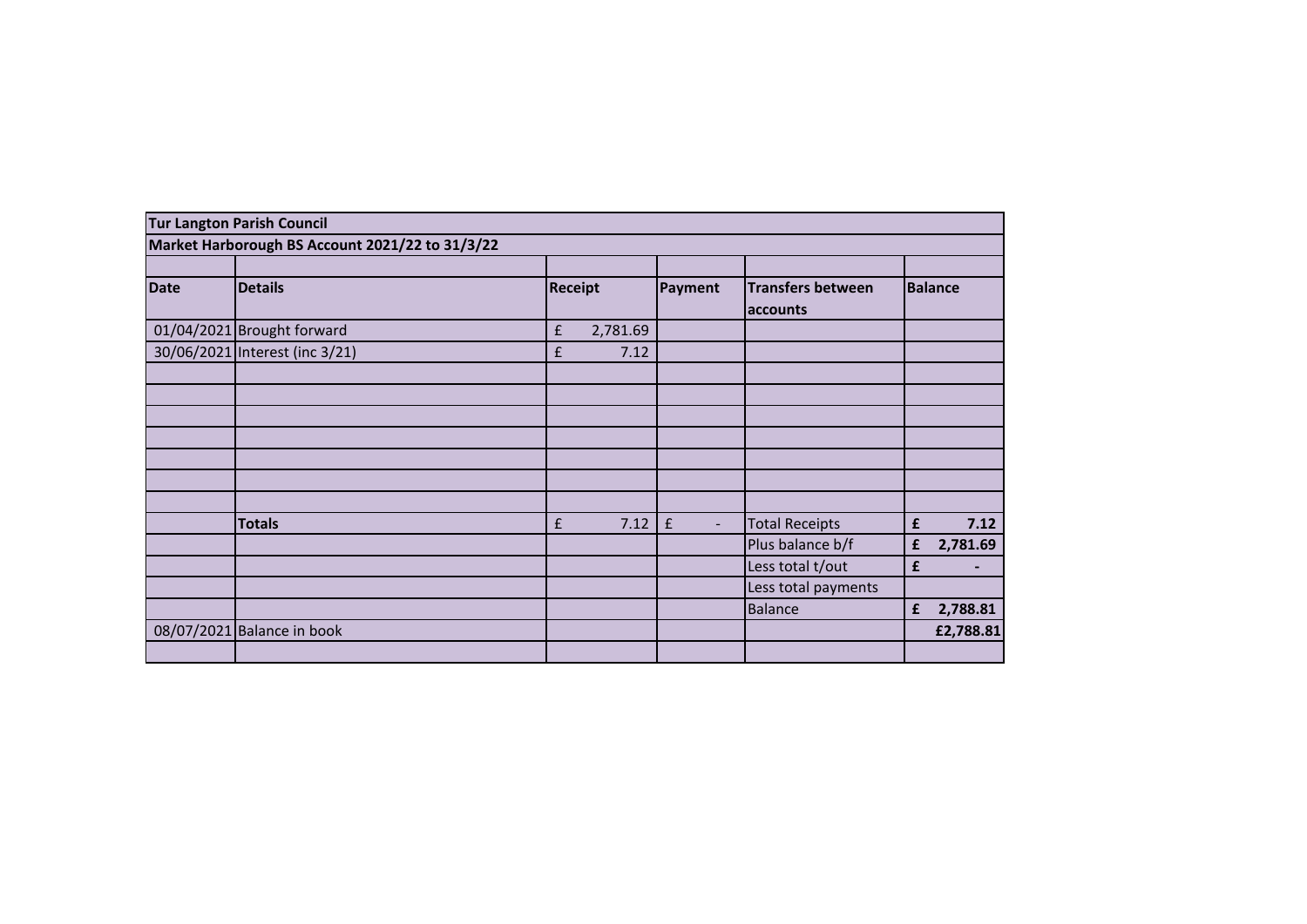|             | <b>Tur Langton Parish Council</b>               |                                |                                      |                                      |                |
|-------------|-------------------------------------------------|--------------------------------|--------------------------------------|--------------------------------------|----------------|
|             | Market Harborough BS Account 2021/22 to 31/3/22 |                                |                                      |                                      |                |
|             |                                                 |                                |                                      |                                      |                |
| <b>Date</b> | <b>Details</b>                                  | <b>Receipt</b>                 | Payment                              | <b>Transfers between</b><br>accounts | <b>Balance</b> |
|             | 01/04/2021 Brought forward                      | $\pmb{\mathsf{f}}$<br>2,781.69 |                                      |                                      |                |
|             | 30/06/2021 Interest (inc 3/21)                  | £<br>7.12                      |                                      |                                      |                |
|             |                                                 |                                |                                      |                                      |                |
|             |                                                 |                                |                                      |                                      |                |
|             |                                                 |                                |                                      |                                      |                |
|             |                                                 |                                |                                      |                                      |                |
|             |                                                 |                                |                                      |                                      |                |
|             |                                                 |                                |                                      |                                      |                |
|             |                                                 |                                |                                      |                                      |                |
|             | <b>Totals</b>                                   | 7.12<br>$\pmb{\mathsf{f}}$     | $\pmb{\mathsf{f}}$<br>$\blacksquare$ | <b>Total Receipts</b>                | 7.12<br>£      |
|             |                                                 |                                |                                      | Plus balance b/f                     | 2,781.69<br>£  |
|             |                                                 |                                |                                      | Less total t/out                     | £              |
|             |                                                 |                                |                                      | Less total payments                  |                |
|             |                                                 |                                |                                      | Balance                              | 2,788.81<br>£  |
|             | 08/07/2021 Balance in book                      |                                |                                      |                                      | £2,788.81      |
|             |                                                 |                                |                                      |                                      |                |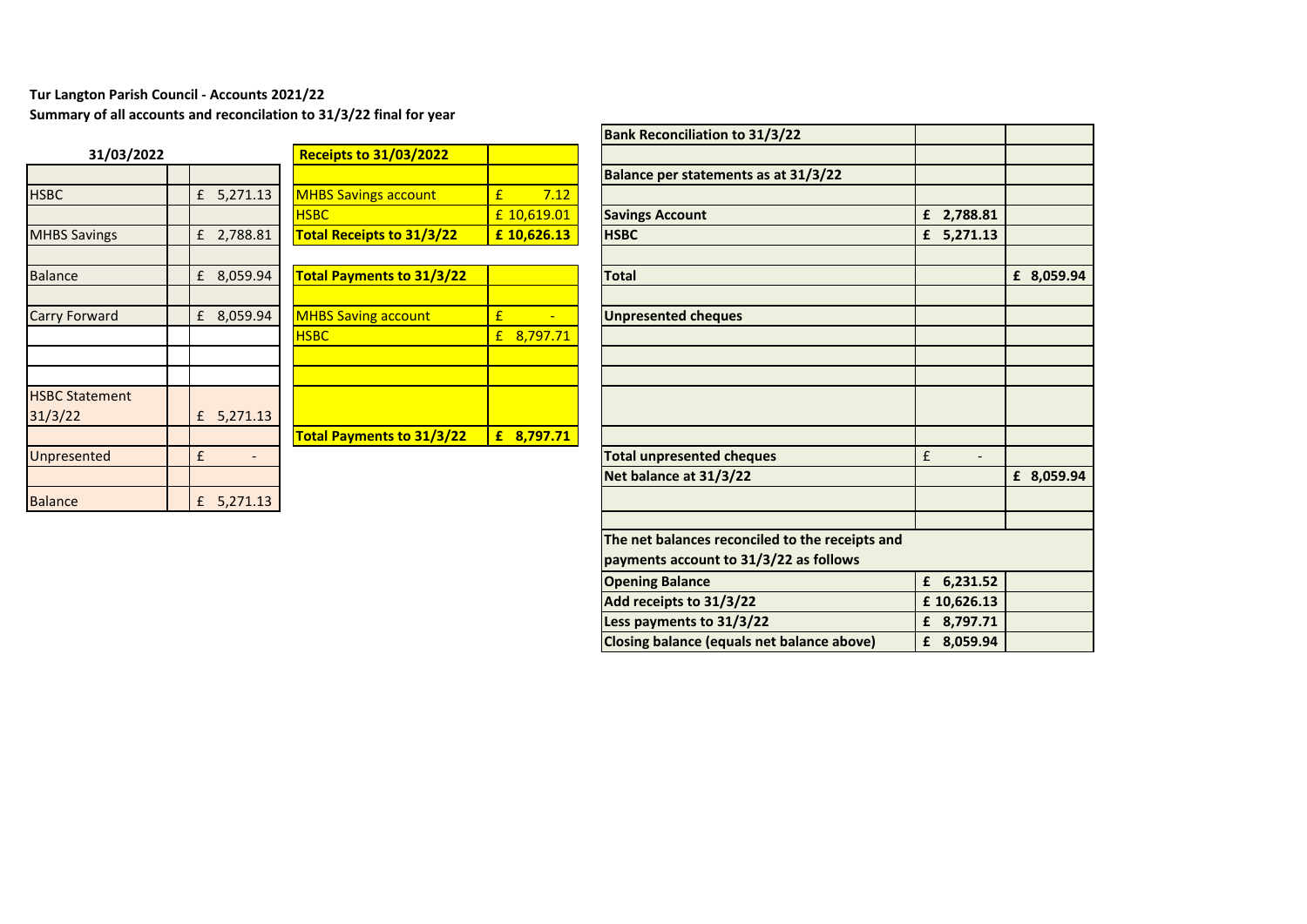## **Tur Langton Parish Council - Accounts 2021/22**

**Summary of all accounts and reconcilation to 31/3/22 final for year**

| 31/03/2022            |             |          | <b>Receipts to 31/03/2022</b>   |
|-----------------------|-------------|----------|---------------------------------|
|                       |             |          |                                 |
| <b>HSBC</b>           | $f_{\rm L}$ | 5,271.13 | <b>MHBS Savings account</b>     |
|                       |             |          | <b>HSBC</b>                     |
| <b>MHBS Savings</b>   | £           | 2,788.81 | <b>Total Receipts to 31/3/2</b> |
|                       |             |          |                                 |
| <b>Balance</b>        | £           | 8,059.94 | <b>Total Payments to 31/3/</b>  |
|                       |             |          |                                 |
| Carry Forward         | £           | 8,059.94 | <b>MHBS Saving account</b>      |
|                       |             |          | <b>HSBC</b>                     |
|                       |             |          |                                 |
|                       |             |          |                                 |
| <b>HSBC Statement</b> |             |          |                                 |
| 31/3/22               | £           | 5,271.13 |                                 |
|                       |             |          | <b>Total Payments to 31/3/</b>  |
| Unpresented           | £           |          |                                 |
|                       |             |          |                                 |
| <b>Balance</b>        | £           | 5,271.13 |                                 |

|                       |               |                                  |               | ש ווטוומווטוווסטא וווסט      |
|-----------------------|---------------|----------------------------------|---------------|------------------------------|
| 31/03/2022            |               | <b>Receipts to 31/03/2022</b>    |               |                              |
|                       |               |                                  |               | <b>Balance per statemen</b>  |
| <b>HSBC</b>           | 5,271.13<br>£ | <b>MHBS Savings account</b>      | 7.12<br>£     |                              |
|                       |               | <b>HSBC</b>                      | £ 10,619.01   | <b>Savings Account</b>       |
| <b>MHBS Savings</b>   | 2,788.81<br>f | <b>Total Receipts to 31/3/22</b> | £10,626.13    | <b>HSBC</b>                  |
|                       |               |                                  |               |                              |
| <b>Balance</b>        | 8,059.94<br>£ | <b>Total Payments to 31/3/22</b> |               | <b>Total</b>                 |
|                       |               |                                  |               |                              |
| Carry Forward         | 8,059.94<br>f | <b>MHBS Saving account</b>       | £             | <b>Unpresented cheques</b>   |
|                       |               | <b>HSBC</b>                      | 8,797.71<br>£ |                              |
|                       |               |                                  |               |                              |
|                       |               |                                  |               |                              |
| <b>HSBC Statement</b> |               |                                  |               |                              |
| 31/3/22               | 5,271.13<br>£ |                                  |               |                              |
|                       |               | <b>Total Payments to 31/3/22</b> | 8,797.71<br>£ |                              |
| Unpresented           | £             |                                  |               | <b>Total unpresented che</b> |
|                       |               |                                  |               | Net balance at 31/3/2        |
| <b>Balance</b>        | 5,271.13<br>£ |                                  |               |                              |
|                       |               |                                  |               |                              |

|                       |              |                                  |             | <b>Bank Reconciliation to 31/3/22</b>           |              |            |
|-----------------------|--------------|----------------------------------|-------------|-------------------------------------------------|--------------|------------|
| 31/03/2022            |              | <b>Receipts to 31/03/2022</b>    |             |                                                 |              |            |
|                       |              |                                  |             | Balance per statements as at 31/3/22            |              |            |
| <b>HSBC</b>           | £ $5,271.13$ | <b>MHBS Savings account</b>      | 7.12<br>£   |                                                 |              |            |
|                       |              | <b>HSBC</b>                      | £ 10,619.01 | <b>Savings Account</b>                          | £ 2,788.81   |            |
| <b>MHBS Savings</b>   | £ 2,788.81   | <b>Total Receipts to 31/3/22</b> | £ 10,626.13 | <b>HSBC</b>                                     | $f$ 5,271.13 |            |
|                       |              |                                  |             |                                                 |              |            |
| <b>Balance</b>        | £ 8,059.94   | <b>Total Payments to 31/3/22</b> |             | <b>Total</b>                                    |              | £ 8,059.94 |
|                       |              |                                  |             |                                                 |              |            |
| Carry Forward         | £ 8,059.94   | <b>MHBS Saving account</b>       | £           | <b>Unpresented cheques</b>                      |              |            |
|                       |              | <b>HSBC</b>                      | £ 8,797.71  |                                                 |              |            |
|                       |              |                                  |             |                                                 |              |            |
|                       |              |                                  |             |                                                 |              |            |
| <b>HSBC Statement</b> |              |                                  |             |                                                 |              |            |
| 31/3/22               | £ 5,271.13   |                                  |             |                                                 |              |            |
|                       |              | <b>Total Payments to 31/3/22</b> | £ 8,797.71  |                                                 |              |            |
| Unpresented           | £            |                                  |             | <b>Total unpresented cheques</b>                | £            |            |
|                       |              |                                  |             | Net balance at 31/3/22                          |              | £ 8,059.94 |
| <b>Balance</b>        | £ $5,271.13$ |                                  |             |                                                 |              |            |
|                       |              |                                  |             |                                                 |              |            |
|                       |              |                                  |             | The net balances reconciled to the receipts and |              |            |
|                       |              |                                  |             | payments account to 31/3/22 as follows          |              |            |
|                       |              |                                  |             | <b>Opening Balance</b>                          | £ 6,231.52   |            |
|                       |              |                                  |             | Add receipts to 31/3/22                         | £10,626.13   |            |
|                       |              |                                  |             | Less payments to 31/3/22                        | £ 8,797.71   |            |
|                       |              |                                  |             | Closing balance (equals net balance above)      | £ 8,059.94   |            |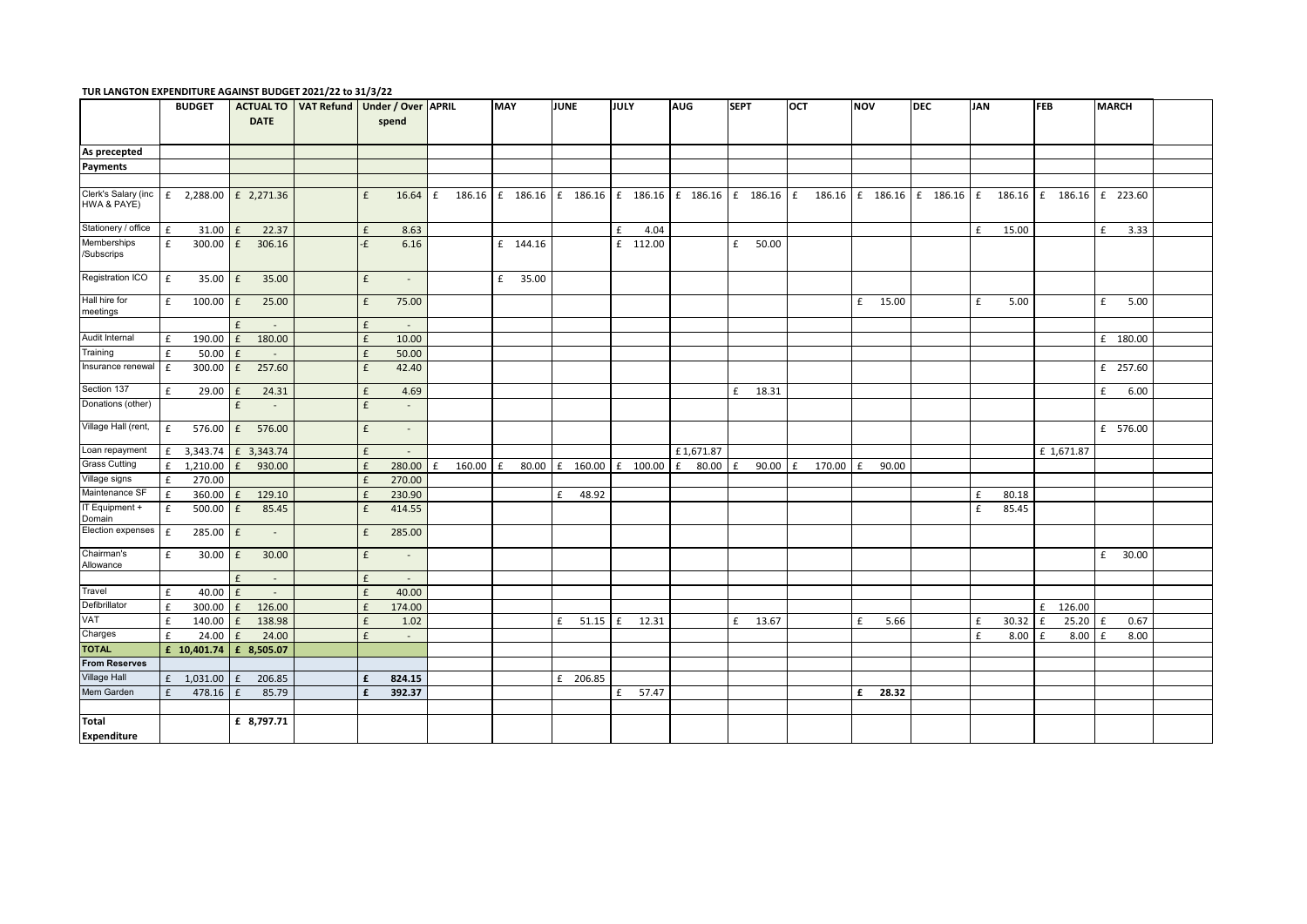|                          | <b>BUDGET</b>           |                    | <b>ACTUAL TO</b> | VAT Refund   Under / Over   APRIL |                    |                |             | <b>MAY</b> |          | <b>JUNE</b> |       | JULY |          | <b>AUG</b>                                                        | <b>SEPT</b> |       | OCT |        | <b>NOV</b> |       | <b>DEC</b>                 | <b>JAN</b> |                          | <b>FEB</b> |            | <b>MARCH</b> |          |  |
|--------------------------|-------------------------|--------------------|------------------|-----------------------------------|--------------------|----------------|-------------|------------|----------|-------------|-------|------|----------|-------------------------------------------------------------------|-------------|-------|-----|--------|------------|-------|----------------------------|------------|--------------------------|------------|------------|--------------|----------|--|
|                          |                         |                    | <b>DATE</b>      |                                   |                    | spend          |             |            |          |             |       |      |          |                                                                   |             |       |     |        |            |       |                            |            |                          |            |            |              |          |  |
|                          |                         |                    |                  |                                   |                    |                |             |            |          |             |       |      |          |                                                                   |             |       |     |        |            |       |                            |            |                          |            |            |              |          |  |
| As precepted             |                         |                    |                  |                                   |                    |                |             |            |          |             |       |      |          |                                                                   |             |       |     |        |            |       |                            |            |                          |            |            |              |          |  |
| Payments                 |                         |                    |                  |                                   |                    |                |             |            |          |             |       |      |          |                                                                   |             |       |     |        |            |       |                            |            |                          |            |            |              |          |  |
|                          |                         |                    |                  |                                   |                    |                |             |            |          |             |       |      |          |                                                                   |             |       |     |        |            |       |                            |            |                          |            |            |              |          |  |
| Clerk's Salary (inc      | £ 2,288.00 $E$ 2,271.36 |                    |                  |                                   | £                  | 16.64          | £           |            |          |             |       |      |          | 186.16 $f$ 186.16 $f$ 186.16 $f$ 186.16 $f$ 186.16 $f$ 186.16 $f$ |             |       |     |        |            |       | 186.16 f 186.16 f 186.16 f |            | 186.16 f 186.16 f 223.60 |            |            |              |          |  |
| HWA & PAYE)              |                         |                    |                  |                                   |                    |                |             |            |          |             |       |      |          |                                                                   |             |       |     |        |            |       |                            |            |                          |            |            |              |          |  |
|                          |                         |                    |                  |                                   |                    |                |             |            |          |             |       |      |          |                                                                   |             |       |     |        |            |       |                            |            |                          |            |            |              |          |  |
| Stationery / office      | £<br>31.00              | $\mathbf{f}$       | 22.37            |                                   | £                  | 8.63           |             |            |          |             |       | £    | 4.04     |                                                                   |             |       |     |        |            |       |                            | £          | 15.00                    |            |            | £            | 3.33     |  |
| Memberships<br>Subscrips | £<br>300.00             | £                  | 306.16           |                                   | -£                 | 6.16           |             |            | £ 144.16 |             |       |      | £ 112.00 |                                                                   | £           | 50.00 |     |        |            |       |                            |            |                          |            |            |              |          |  |
| Registration ICO         | £                       | $35.00 \text{ }$ £ | 35.00            |                                   | $\mathbf f$        | $\overline{a}$ |             |            | £ 35.00  |             |       |      |          |                                                                   |             |       |     |        |            |       |                            |            |                          |            |            |              |          |  |
| Hall hire for            | 100.00<br>£             | $\mathbf{f}$       | 25.00            |                                   | £                  | 75.00          |             |            |          |             |       |      |          |                                                                   |             |       |     |        | £          | 15.00 |                            | £          | 5.00                     |            |            | £            | 5.00     |  |
| meetings                 |                         |                    |                  |                                   |                    |                |             |            |          |             |       |      |          |                                                                   |             |       |     |        |            |       |                            |            |                          |            |            |              |          |  |
|                          |                         | $\mathbf{f}$       |                  |                                   | £                  | $\sim$         |             |            |          |             |       |      |          |                                                                   |             |       |     |        |            |       |                            |            |                          |            |            |              |          |  |
| Audit Internal           | 190.00<br>£             | f                  | 180.00           |                                   | $\pmb{\mathsf{f}}$ | 10.00          |             |            |          |             |       |      |          |                                                                   |             |       |     |        |            |       |                            |            |                          |            |            |              | £ 180.00 |  |
| Training                 | £<br>50.00              | £                  | $\sim$           |                                   | £                  | 50.00          |             |            |          |             |       |      |          |                                                                   |             |       |     |        |            |       |                            |            |                          |            |            |              |          |  |
| Insurance renewal        | £<br>300.00             | £                  | 257.60           |                                   | £                  | 42.40          |             |            |          |             |       |      |          |                                                                   |             |       |     |        |            |       |                            |            |                          |            |            |              | £ 257.60 |  |
| Section 137              | £<br>29.00              | £                  | 24.31            |                                   | £                  | 4.69           |             |            |          |             |       |      |          |                                                                   | £           | 18.31 |     |        |            |       |                            |            |                          |            |            | £            | 6.00     |  |
| Donations (other)        |                         | £                  | $\sim$           |                                   | $\pmb{\mathsf{f}}$ | $\sim$         |             |            |          |             |       |      |          |                                                                   |             |       |     |        |            |       |                            |            |                          |            |            |              |          |  |
| Village Hall (rent,      | £<br>576.00             | f                  | 576.00           |                                   | £                  | $\sim$         |             |            |          |             |       |      |          |                                                                   |             |       |     |        |            |       |                            |            |                          |            |            |              | £ 576.00 |  |
| Loan repayment           | £ 3,343.74              |                    | £ 3,343.74       |                                   | £                  |                |             |            |          |             |       |      |          | £1,671.87                                                         |             |       |     |        |            |       |                            |            |                          |            | £ 1,671.87 |              |          |  |
| <b>Grass Cutting</b>     | 1,210.00<br>£           | f                  | 930.00           |                                   | £                  | 280.00         | 160.00<br>£ | l £        | 80.00    | $£$ 160.00  |       | f    | 100.00   | £<br>80.00                                                        | E           | 90.00 | f   | 170.00 | £          | 90.00 |                            |            |                          |            |            |              |          |  |
| Village signs            | 270.00<br>£             |                    |                  |                                   | £                  | 270.00         |             |            |          |             |       |      |          |                                                                   |             |       |     |        |            |       |                            |            |                          |            |            |              |          |  |
| Maintenance SF           | 360.00<br>£             | f                  | 129.10           |                                   | £                  | 230.90         |             |            |          | £           | 48.92 |      |          |                                                                   |             |       |     |        |            |       |                            | £          | 80.18                    |            |            |              |          |  |
| IT Equipment +<br>Domain | 500.00<br>£             | f                  | 85.45            |                                   | £                  | 414.55         |             |            |          |             |       |      |          |                                                                   |             |       |     |        |            |       |                            | £          | 85.45                    |            |            |              |          |  |
| Election expenses        | £<br>285.00             | f                  | $\sim$           |                                   | £                  | 285.00         |             |            |          |             |       |      |          |                                                                   |             |       |     |        |            |       |                            |            |                          |            |            |              |          |  |
| Chairman's<br>Allowance  | £                       | $30.00$ $E$        | 30.00            |                                   | £                  | $\overline{a}$ |             |            |          |             |       |      |          |                                                                   |             |       |     |        |            |       |                            |            |                          |            |            | £            | 30.00    |  |
|                          |                         | £                  | $\sim$           |                                   | £                  | $\sim$         |             |            |          |             |       |      |          |                                                                   |             |       |     |        |            |       |                            |            |                          |            |            |              |          |  |
| Travel                   | £<br>40.00              | f                  | $\sim$           |                                   | $\pmb{\mathsf{f}}$ | 40.00          |             |            |          |             |       |      |          |                                                                   |             |       |     |        |            |       |                            |            |                          |            |            |              |          |  |
| Defibrillator            | £<br>300.00             | $\mathbf{f}$       | 126.00           |                                   | £                  | 174.00         |             |            |          |             |       |      |          |                                                                   |             |       |     |        |            |       |                            |            |                          | £          | 126.00     |              |          |  |
| VAT                      | 140.00<br>£             | f                  | 138.98           |                                   | £                  | 1.02           |             |            |          | £           | 51.15 | £    | 12.31    |                                                                   | £           | 13.67 |     |        | £          | 5.66  |                            | £          | 30.32                    | £          | 25.20      | l £          | 0.67     |  |
| Charges                  | 24.00<br>£              | $\mathbf{f}$       | 24.00            |                                   | £                  | $\sim$         |             |            |          |             |       |      |          |                                                                   |             |       |     |        |            |       |                            | £          | 8.00                     | £          | 8.00       | l £          | 8.00     |  |
| <b>TOTAL</b>             | £ 10,401.74             |                    | £ 8,505.07       |                                   |                    |                |             |            |          |             |       |      |          |                                                                   |             |       |     |        |            |       |                            |            |                          |            |            |              |          |  |
| <b>From Reserves</b>     |                         |                    |                  |                                   |                    |                |             |            |          |             |       |      |          |                                                                   |             |       |     |        |            |       |                            |            |                          |            |            |              |          |  |
| Village Hall             | 1,031.00<br>f           | $\mathbf{f}$       | 206.85           |                                   | £                  | 824.15         |             |            |          | £ 206.85    |       |      |          |                                                                   |             |       |     |        |            |       |                            |            |                          |            |            |              |          |  |
| Mem Garden               | 478.16<br>f             | $\mathbf{f}$       | 85.79            |                                   | £                  | 392.37         |             |            |          |             |       | £    | 57.47    |                                                                   |             |       |     |        | £          | 28.32 |                            |            |                          |            |            |              |          |  |
|                          |                         |                    |                  |                                   |                    |                |             |            |          |             |       |      |          |                                                                   |             |       |     |        |            |       |                            |            |                          |            |            |              |          |  |
| Total<br>Expenditure     |                         |                    | £ 8,797.71       |                                   |                    |                |             |            |          |             |       |      |          |                                                                   |             |       |     |        |            |       |                            |            |                          |            |            |              |          |  |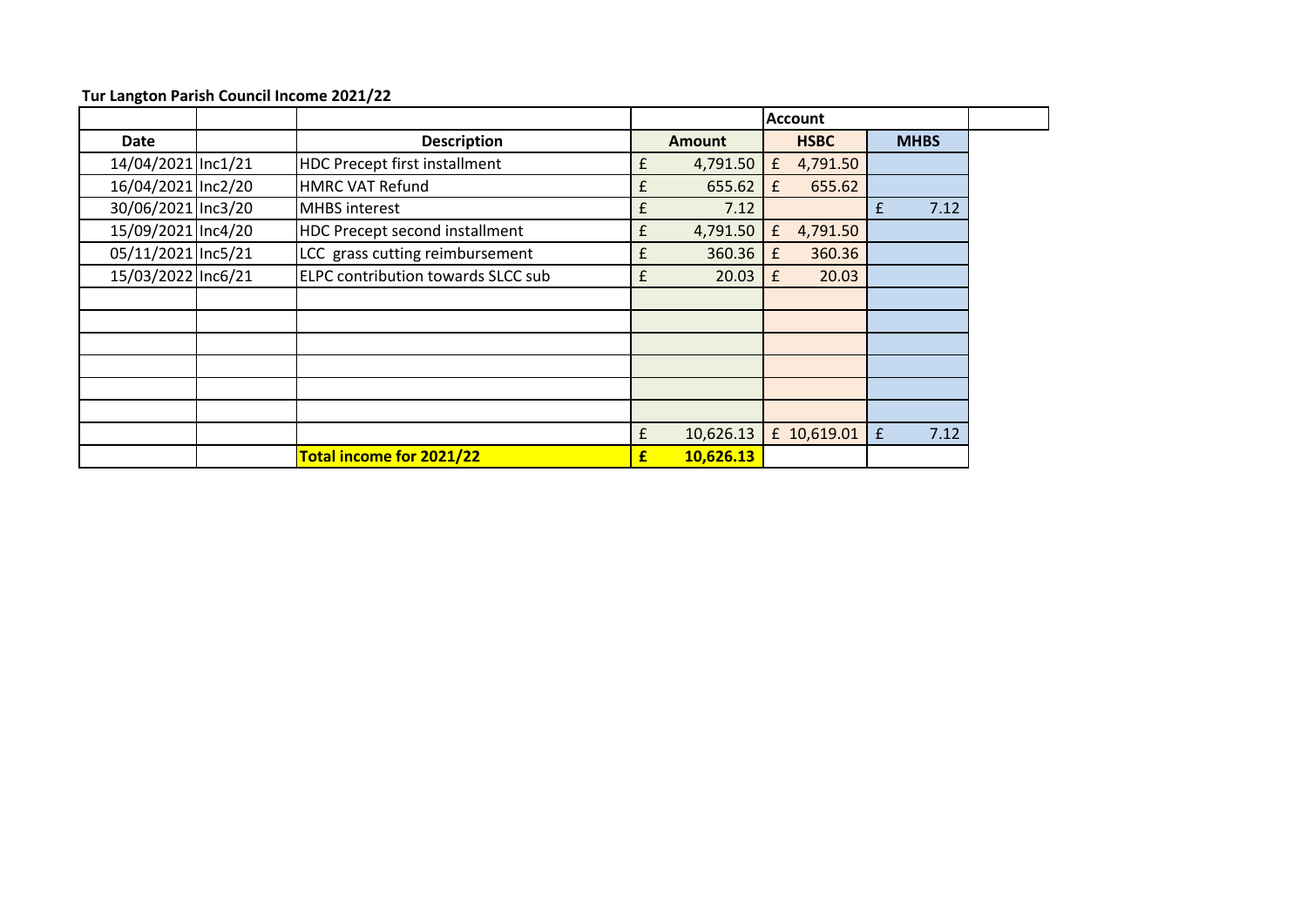|                    |                                           |   |               |              | <b>Account</b> |   |             |
|--------------------|-------------------------------------------|---|---------------|--------------|----------------|---|-------------|
| <b>Date</b>        | <b>Description</b>                        |   | <b>Amount</b> |              | <b>HSBC</b>    |   | <b>MHBS</b> |
| 14/04/2021 Inc1/21 | HDC Precept first installment             | £ | 4,791.50      | £            | 4,791.50       |   |             |
| 16/04/2021 Inc2/20 | <b>HMRC VAT Refund</b>                    | £ | 655.62        | £            | 655.62         |   |             |
| 30/06/2021 Inc3/20 | <b>MHBS</b> interest                      | £ | 7.12          |              |                | £ | 7.12        |
| 15/09/2021 Inc4/20 | HDC Precept second installment            | £ | 4,791.50      | f            | 4,791.50       |   |             |
| 05/11/2021 Inc5/21 | LCC grass cutting reimbursement           |   | 360.36        | £            | 360.36         |   |             |
| 15/03/2022 Inc6/21 | <b>ELPC contribution towards SLCC sub</b> | £ | 20.03         | $\mathbf{f}$ | 20.03          |   |             |
|                    |                                           |   |               |              |                |   |             |
|                    |                                           |   |               |              |                |   |             |
|                    |                                           |   |               |              |                |   |             |
|                    |                                           |   |               |              |                |   |             |
|                    |                                           |   |               |              |                |   |             |
|                    |                                           |   |               |              |                |   |             |
|                    |                                           | £ | 10,626.13     |              | £ 10,619.01    | f | 7.12        |
|                    | Total income for 2021/22                  | £ | 10,626.13     |              |                |   |             |

**Tur Langton Parish Council Income 2021/22**